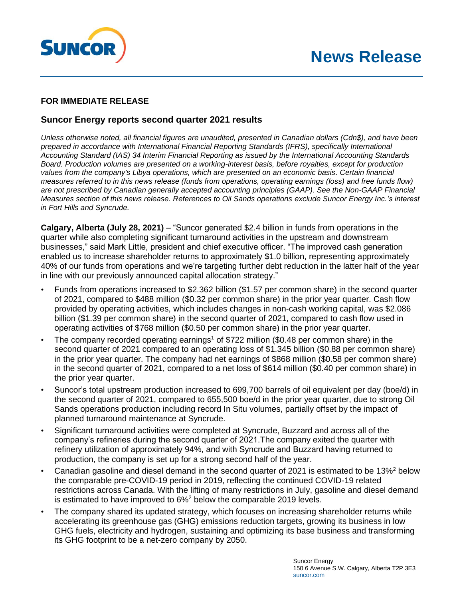

# **FOR IMMEDIATE RELEASE**

# **Suncor Energy reports second quarter 2021 results**

*Unless otherwise noted, all financial figures are unaudited, presented in Canadian dollars (Cdn\$), and have been prepared in accordance with International Financial Reporting Standards (IFRS), specifically International Accounting Standard (IAS) 34 Interim Financial Reporting as issued by the International Accounting Standards Board. Production volumes are presented on a working-interest basis, before royalties, except for production*  values from the company's Libya operations, which are presented on an economic basis. Certain financial *measures referred to in this news release (funds from operations, operating earnings (loss) and free funds flow) are not prescribed by Canadian generally accepted accounting principles (GAAP). See the Non-GAAP Financial Measures section of this news release. References to Oil Sands operations exclude Suncor Energy Inc.'s interest in Fort Hills and Syncrude.*

Calgary, Alberta (July 28, 2021) – "Suncor generated \$2.4 billion in funds from operations in the quarter while also completing significant turnaround activities in the upstream and downstream businesses," said Mark Little, president and chief executive officer. "The improved cash generation enabled us to increase shareholder returns to approximately \$1.0 billion, representing approximately 40% of our funds from operations and we're targeting further debt reduction in the latter half of the year in line with our previously announced capital allocation strategy."

- Funds from operations increased to \$2.362 billion (\$1.57 per common share) in the second quarter of 2021, compared to \$488 million (\$0.32 per common share) in the prior year quarter. Cash flow provided by operating activities, which includes changes in non-cash working capital, was \$2.086 billion (\$1.39 per common share) in the second quarter of 2021, compared to cash flow used in operating activities of \$768 million (\$0.50 per common share) in the prior year quarter.
- The company recorded operating earnings<sup>1</sup> of \$722 million (\$0.48 per common share) in the second quarter of 2021 compared to an operating loss of \$1.345 billion (\$0.88 per common share) in the prior year quarter. The company had net earnings of \$868 million (\$0.58 per common share) in the second quarter of 2021, compared to a net loss of \$614 million (\$0.40 per common share) in the prior year quarter.
- Suncor's total upstream production increased to 699,700 barrels of oil equivalent per day (boe/d) in the second quarter of 2021, compared to 655,500 boe/d in the prior year quarter, due to strong Oil Sands operations production including record In Situ volumes, partially offset by the impact of planned turnaround maintenance at Syncrude.
- Significant turnaround activities were completed at Syncrude, Buzzard and across all of the company's refineries during the second quarter of 2021.The company exited the quarter with refinery utilization of approximately 94%, and with Syncrude and Buzzard having returned to production, the company is set up for a strong second half of the year.
- Canadian gasoline and diesel demand in the second quarter of 2021 is estimated to be 13%<sup>2</sup> below the comparable pre-COVID-19 period in 2019, reflecting the continued COVID-19 related restrictions across Canada. With the lifting of many restrictions in July, gasoline and diesel demand is estimated to have improved to 6%<sup>2</sup> below the comparable 2019 levels.
- The company shared its updated strategy, which focuses on increasing shareholder returns while accelerating its greenhouse gas (GHG) emissions reduction targets, growing its business in low GHG fuels, electricity and hydrogen, sustaining and optimizing its base business and transforming its GHG footprint to be a net-zero company by 2050.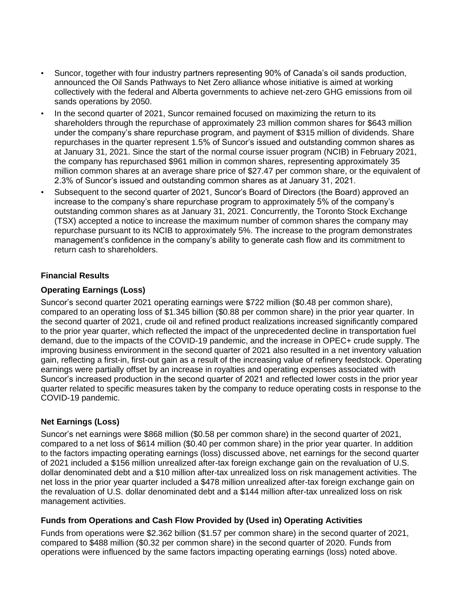- Suncor, together with four industry partners representing 90% of Canada's oil sands production, announced the Oil Sands Pathways to Net Zero alliance whose initiative is aimed at working collectively with the federal and Alberta governments to achieve net-zero GHG emissions from oil sands operations by 2050.
- In the second quarter of 2021, Suncor remained focused on maximizing the return to its shareholders through the repurchase of approximately 23 million common shares for \$643 million under the company's share repurchase program, and payment of \$315 million of dividends. Share repurchases in the quarter represent 1.5% of Suncor's issued and outstanding common shares as at January 31, 2021. Since the start of the normal course issuer program (NCIB) in February 2021, the company has repurchased \$961 million in common shares, representing approximately 35 million common shares at an average share price of \$27.47 per common share, or the equivalent of 2.3% of Suncor's issued and outstanding common shares as at January 31, 2021.
- Subsequent to the second quarter of 2021, Suncor's Board of Directors (the Board) approved an increase to the company's share repurchase program to approximately 5% of the company's outstanding common shares as at January 31, 2021. Concurrently, the Toronto Stock Exchange (TSX) accepted a notice to increase the maximum number of common shares the company may repurchase pursuant to its NCIB to approximately 5%. The increase to the program demonstrates management's confidence in the company's ability to generate cash flow and its commitment to return cash to shareholders.

# **Financial Results**

# **Operating Earnings (Loss)**

Suncor's second quarter 2021 operating earnings were \$722 million (\$0.48 per common share), compared to an operating loss of \$1.345 billion (\$0.88 per common share) in the prior year quarter. In the second quarter of 2021, crude oil and refined product realizations increased significantly compared to the prior year quarter, which reflected the impact of the unprecedented decline in transportation fuel demand, due to the impacts of the COVID-19 pandemic, and the increase in OPEC+ crude supply. The improving business environment in the second quarter of 2021 also resulted in a net inventory valuation gain, reflecting a first-in, first-out gain as a result of the increasing value of refinery feedstock. Operating earnings were partially offset by an increase in royalties and operating expenses associated with Suncor's increased production in the second quarter of 2021 and reflected lower costs in the prior year quarter related to specific measures taken by the company to reduce operating costs in response to the COVID-19 pandemic.

### **Net Earnings (Loss)**

Suncor's net earnings were \$868 million (\$0.58 per common share) in the second quarter of 2021, compared to a net loss of \$614 million (\$0.40 per common share) in the prior year quarter. In addition to the factors impacting operating earnings (loss) discussed above, net earnings for the second quarter of 2021 included a \$156 million unrealized after-tax foreign exchange gain on the revaluation of U.S. dollar denominated debt and a \$10 million after-tax unrealized loss on risk management activities. The net loss in the prior year quarter included a \$478 million unrealized after-tax foreign exchange gain on the revaluation of U.S. dollar denominated debt and a \$144 million after-tax unrealized loss on risk management activities.

### **Funds from Operations and Cash Flow Provided by (Used in) Operating Activities**

Funds from operations were \$2.362 billion (\$1.57 per common share) in the second quarter of 2021, compared to \$488 million (\$0.32 per common share) in the second quarter of 2020. Funds from operations were influenced by the same factors impacting operating earnings (loss) noted above.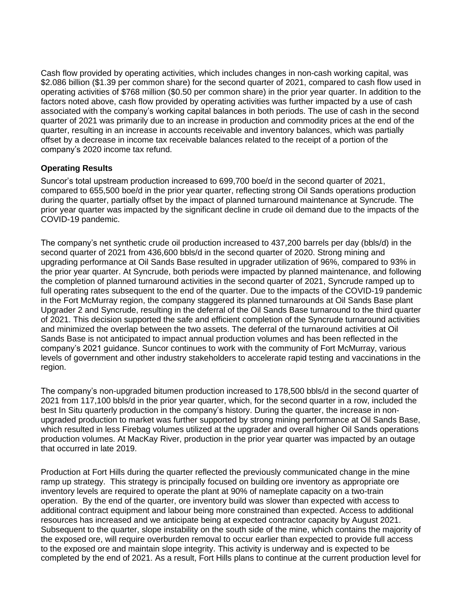Cash flow provided by operating activities, which includes changes in non-cash working capital, was \$2.086 billion (\$1.39 per common share) for the second quarter of 2021, compared to cash flow used in operating activities of \$768 million (\$0.50 per common share) in the prior year quarter. In addition to the factors noted above, cash flow provided by operating activities was further impacted by a use of cash associated with the company's working capital balances in both periods. The use of cash in the second quarter of 2021 was primarily due to an increase in production and commodity prices at the end of the quarter, resulting in an increase in accounts receivable and inventory balances, which was partially offset by a decrease in income tax receivable balances related to the receipt of a portion of the company's 2020 income tax refund.

### **Operating Results**

Suncor's total upstream production increased to 699,700 boe/d in the second quarter of 2021, compared to 655,500 boe/d in the prior year quarter, reflecting strong Oil Sands operations production during the quarter, partially offset by the impact of planned turnaround maintenance at Syncrude. The prior year quarter was impacted by the significant decline in crude oil demand due to the impacts of the COVID-19 pandemic.

The company's net synthetic crude oil production increased to 437,200 barrels per day (bbls/d) in the second quarter of 2021 from 436,600 bbls/d in the second quarter of 2020. Strong mining and upgrading performance at Oil Sands Base resulted in upgrader utilization of 96%, compared to 93% in the prior year quarter. At Syncrude, both periods were impacted by planned maintenance, and following the completion of planned turnaround activities in the second quarter of 2021, Syncrude ramped up to full operating rates subsequent to the end of the quarter. Due to the impacts of the COVID-19 pandemic in the Fort McMurray region, the company staggered its planned turnarounds at Oil Sands Base plant Upgrader 2 and Syncrude, resulting in the deferral of the Oil Sands Base turnaround to the third quarter of 2021. This decision supported the safe and efficient completion of the Syncrude turnaround activities and minimized the overlap between the two assets. The deferral of the turnaround activities at Oil Sands Base is not anticipated to impact annual production volumes and has been reflected in the company's 2021 guidance. Suncor continues to work with the community of Fort McMurray, various levels of government and other industry stakeholders to accelerate rapid testing and vaccinations in the region.

The company's non-upgraded bitumen production increased to 178,500 bbls/d in the second quarter of 2021 from 117,100 bbls/d in the prior year quarter, which, for the second quarter in a row, included the best In Situ quarterly production in the company's history. During the quarter, the increase in nonupgraded production to market was further supported by strong mining performance at Oil Sands Base, which resulted in less Firebag volumes utilized at the upgrader and overall higher Oil Sands operations production volumes. At MacKay River, production in the prior year quarter was impacted by an outage that occurred in late 2019.

Production at Fort Hills during the quarter reflected the previously communicated change in the mine ramp up strategy. This strategy is principally focused on building ore inventory as appropriate ore inventory levels are required to operate the plant at 90% of nameplate capacity on a two-train operation. By the end of the quarter, ore inventory build was slower than expected with access to additional contract equipment and labour being more constrained than expected. Access to additional resources has increased and we anticipate being at expected contractor capacity by August 2021. Subsequent to the quarter, slope instability on the south side of the mine, which contains the majority of the exposed ore, will require overburden removal to occur earlier than expected to provide full access to the exposed ore and maintain slope integrity. This activity is underway and is expected to be completed by the end of 2021. As a result, Fort Hills plans to continue at the current production level for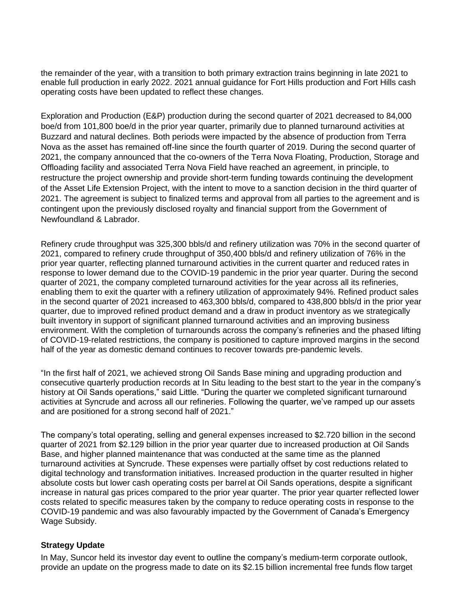the remainder of the year, with a transition to both primary extraction trains beginning in late 2021 to enable full production in early 2022. 2021 annual guidance for Fort Hills production and Fort Hills cash operating costs have been updated to reflect these changes.

Exploration and Production (E&P) production during the second quarter of 2021 decreased to 84,000 boe/d from 101,800 boe/d in the prior year quarter, primarily due to planned turnaround activities at Buzzard and natural declines. Both periods were impacted by the absence of production from Terra Nova as the asset has remained off-line since the fourth quarter of 2019. During the second quarter of 2021, the company announced that the co-owners of the Terra Nova Floating, Production, Storage and Offloading facility and associated Terra Nova Field have reached an agreement, in principle, to restructure the project ownership and provide short-term funding towards continuing the development of the Asset Life Extension Project, with the intent to move to a sanction decision in the third quarter of 2021. The agreement is subject to finalized terms and approval from all parties to the agreement and is contingent upon the previously disclosed royalty and financial support from the Government of Newfoundland & Labrador.

Refinery crude throughput was 325,300 bbls/d and refinery utilization was 70% in the second quarter of 2021, compared to refinery crude throughput of 350,400 bbls/d and refinery utilization of 76% in the prior year quarter, reflecting planned turnaround activities in the current quarter and reduced rates in response to lower demand due to the COVID-19 pandemic in the prior year quarter. During the second quarter of 2021, the company completed turnaround activities for the year across all its refineries, enabling them to exit the quarter with a refinery utilization of approximately 94%. Refined product sales in the second quarter of 2021 increased to 463,300 bbls/d, compared to 438,800 bbls/d in the prior year quarter, due to improved refined product demand and a draw in product inventory as we strategically built inventory in support of significant planned turnaround activities and an improving business environment. With the completion of turnarounds across the company's refineries and the phased lifting of COVID-19-related restrictions, the company is positioned to capture improved margins in the second half of the year as domestic demand continues to recover towards pre-pandemic levels.

"In the first half of 2021, we achieved strong Oil Sands Base mining and upgrading production and consecutive quarterly production records at In Situ leading to the best start to the year in the company's history at Oil Sands operations," said Little. "During the quarter we completed significant turnaround activities at Syncrude and across all our refineries. Following the quarter, we've ramped up our assets and are positioned for a strong second half of 2021."

The company's total operating, selling and general expenses increased to \$2.720 billion in the second quarter of 2021 from \$2.129 billion in the prior year quarter due to increased production at Oil Sands Base, and higher planned maintenance that was conducted at the same time as the planned turnaround activities at Syncrude. These expenses were partially offset by cost reductions related to digital technology and transformation initiatives. Increased production in the quarter resulted in higher absolute costs but lower cash operating costs per barrel at Oil Sands operations, despite a significant increase in natural gas prices compared to the prior year quarter. The prior year quarter reflected lower costs related to specific measures taken by the company to reduce operating costs in response to the COVID-19 pandemic and was also favourably impacted by the Government of Canada's Emergency Wage Subsidy.

#### **Strategy Update**

In May, Suncor held its investor day event to outline the company's medium-term corporate outlook, provide an update on the progress made to date on its \$2.15 billion incremental free funds flow target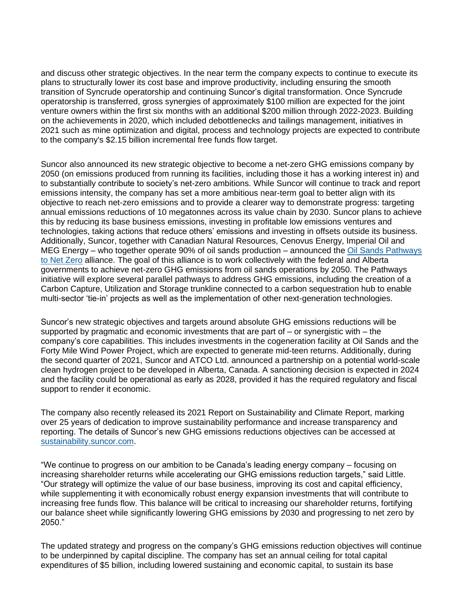and discuss other strategic objectives. In the near term the company expects to continue to execute its plans to structurally lower its cost base and improve productivity, including ensuring the smooth transition of Syncrude operatorship and continuing Suncor's digital transformation. Once Syncrude operatorship is transferred, gross synergies of approximately \$100 million are expected for the joint venture owners within the first six months with an additional \$200 million through 2022-2023. Building on the achievements in 2020, which included debottlenecks and tailings management, initiatives in 2021 such as mine optimization and digital, process and technology projects are expected to contribute to the company's \$2.15 billion incremental free funds flow target.

Suncor also announced its new strategic objective to become a net-zero GHG emissions company by 2050 (on emissions produced from running its facilities, including those it has a working interest in) and to substantially contribute to society's net-zero ambitions. While Suncor will continue to track and report emissions intensity, the company has set a more ambitious near-term goal to better align with its objective to reach net-zero emissions and to provide a clearer way to demonstrate progress: targeting annual emissions reductions of 10 megatonnes across its value chain by 2030. Suncor plans to achieve this by reducing its base business emissions, investing in profitable low emissions ventures and technologies, taking actions that reduce others' emissions and investing in offsets outside its business. Additionally, Suncor, together with Canadian Natural Resources, Cenovus Energy, Imperial Oil and MEG Energy – who together operate 90% of oil sands production – announced the [Oil Sands Pathways](https://www.oilsandspathways.ca/)  [to Net Zero](https://www.oilsandspathways.ca/) alliance. The goal of this alliance is to work collectively with the federal and Alberta governments to achieve net-zero GHG emissions from oil sands operations by 2050. The Pathways initiative will explore several parallel pathways to address GHG emissions, including the creation of a Carbon Capture, Utilization and Storage trunkline connected to a carbon sequestration hub to enable multi-sector 'tie-in' projects as well as the implementation of other next-generation technologies.

Suncor's new strategic objectives and targets around absolute GHG emissions reductions will be supported by pragmatic and economic investments that are part of  $-$  or synergistic with  $-$  the company's core capabilities. This includes investments in the cogeneration facility at Oil Sands and the Forty Mile Wind Power Project, which are expected to generate mid-teen returns. Additionally, during the second quarter of 2021, Suncor and ATCO Ltd. announced a partnership on a potential world-scale clean hydrogen project to be developed in Alberta, Canada. A sanctioning decision is expected in 2024 and the facility could be operational as early as 2028, provided it has the required regulatory and fiscal support to render it economic.

The company also recently released its 2021 Report on Sustainability and Climate Report, marking over 25 years of dedication to improve sustainability performance and increase transparency and reporting. The details of Suncor's new GHG emissions reductions objectives can be accessed at [sustainability.suncor.com.](https://sustainability.suncor.com/en)

"We continue to progress on our ambition to be Canada's leading energy company – focusing on increasing shareholder returns while accelerating our GHG emissions reduction targets," said Little. "Our strategy will optimize the value of our base business, improving its cost and capital efficiency, while supplementing it with economically robust energy expansion investments that will contribute to increasing free funds flow. This balance will be critical to increasing our shareholder returns, fortifying our balance sheet while significantly lowering GHG emissions by 2030 and progressing to net zero by 2050."

The updated strategy and progress on the company's GHG emissions reduction objectives will continue to be underpinned by capital discipline. The company has set an annual ceiling for total capital expenditures of \$5 billion, including lowered sustaining and economic capital, to sustain its base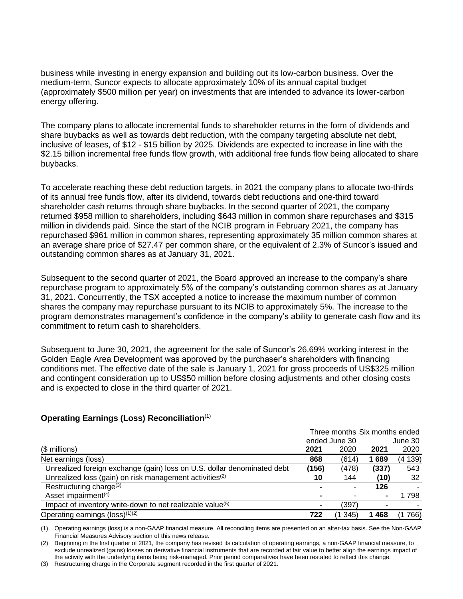business while investing in energy expansion and building out its low-carbon business. Over the medium-term, Suncor expects to allocate approximately 10% of its annual capital budget (approximately \$500 million per year) on investments that are intended to advance its lower-carbon energy offering.

The company plans to allocate incremental funds to shareholder returns in the form of dividends and share buybacks as well as towards debt reduction, with the company targeting absolute net debt, inclusive of leases, of \$12 - \$15 billion by 2025. Dividends are expected to increase in line with the \$2.15 billion incremental free funds flow growth, with additional free funds flow being allocated to share buybacks.

To accelerate reaching these debt reduction targets, in 2021 the company plans to allocate two-thirds of its annual free funds flow, after its dividend, towards debt reductions and one-third toward shareholder cash returns through share buybacks. In the second quarter of 2021, the company returned \$958 million to shareholders, including \$643 million in common share repurchases and \$315 million in dividends paid. Since the start of the NCIB program in February 2021, the company has repurchased \$961 million in common shares, representing approximately 35 million common shares at an average share price of \$27.47 per common share, or the equivalent of 2.3% of Suncor's issued and outstanding common shares as at January 31, 2021.

Subsequent to the second quarter of 2021, the Board approved an increase to the company's share repurchase program to approximately 5% of the company's outstanding common shares as at January 31, 2021. Concurrently, the TSX accepted a notice to increase the maximum number of common shares the company may repurchase pursuant to its NCIB to approximately 5%. The increase to the program demonstrates management's confidence in the company's ability to generate cash flow and its commitment to return cash to shareholders.

Subsequent to June 30, 2021, the agreement for the sale of Suncor's 26.69% working interest in the Golden Eagle Area Development was approved by the purchaser's shareholders with financing conditions met. The effective date of the sale is January 1, 2021 for gross proceeds of US\$325 million and contingent consideration up to US\$50 million before closing adjustments and other closing costs and is expected to close in the third quarter of 2021.

### **Operating Earnings (Loss) Reconciliation**(1)

|                                                                         | Three months Six months ended |         |                |        |
|-------------------------------------------------------------------------|-------------------------------|---------|----------------|--------|
|                                                                         | ended June 30                 |         | June 30        |        |
| $$$ millions)                                                           | 2021                          | 2020    | 2021           | 2020   |
| Net earnings (loss)                                                     | 868                           | (614)   | 1689           | (4139) |
| Unrealized foreign exchange (gain) loss on U.S. dollar denominated debt | (156)                         | (478)   | (337)          | 543    |
| Unrealized loss (gain) on risk management activities <sup>(2)</sup>     | 10                            | 144     | (10)           | 32     |
| Restructuring charge <sup>(3)</sup>                                     |                               |         | 126            |        |
| Asset impairment <sup>(4)</sup>                                         |                               |         | $\blacksquare$ | 1 798  |
| Impact of inventory write-down to net realizable value <sup>(5)</sup>   |                               | (397    |                |        |
| Operating earnings (loss) <sup>(1)(2)</sup>                             | 722                           | (1 345) | 1468           | (1766) |

(1) Operating earnings (loss) is a non-GAAP financial measure. All reconciling items are presented on an after-tax basis. See the Non-GAAP Financial Measures Advisory section of this news release.

(2) Beginning in the first quarter of 2021, the company has revised its calculation of operating earnings, a non-GAAP financial measure, to exclude unrealized (gains) losses on derivative financial instruments that are recorded at fair value to better align the earnings impact of the activity with the underlying items being risk-managed. Prior period comparatives have been restated to reflect this change.

(3) Restructuring charge in the Corporate segment recorded in the first quarter of 2021.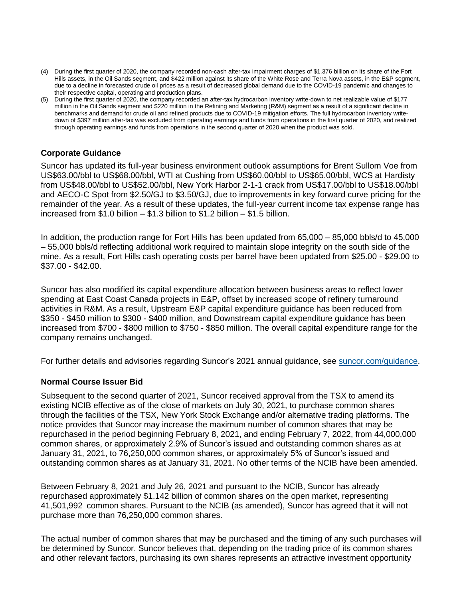- (4) During the first quarter of 2020, the company recorded non-cash after-tax impairment charges of \$1.376 billion on its share of the Fort Hills assets, in the Oil Sands segment, and \$422 million against its share of the White Rose and Terra Nova assets, in the E&P segment, due to a decline in forecasted crude oil prices as a result of decreased global demand due to the COVID-19 pandemic and changes to their respective capital, operating and production plans.
- (5) During the first quarter of 2020, the company recorded an after-tax hydrocarbon inventory write-down to net realizable value of \$177 million in the Oil Sands segment and \$220 million in the Refining and Marketing (R&M) segment as a result of a significant decline in benchmarks and demand for crude oil and refined products due to COVID-19 mitigation efforts. The full hydrocarbon inventory writedown of \$397 million after-tax was excluded from operating earnings and funds from operations in the first quarter of 2020, and realized through operating earnings and funds from operations in the second quarter of 2020 when the product was sold.

#### **Corporate Guidance**

Suncor has updated its full-year business environment outlook assumptions for Brent Sullom Voe from US\$63.00/bbl to US\$68.00/bbl, WTI at Cushing from US\$60.00/bbl to US\$65.00/bbl, WCS at Hardisty from US\$48.00/bbl to US\$52.00/bbl, New York Harbor 2-1-1 crack from US\$17.00/bbl to US\$18.00/bbl and AECO-C Spot from \$2.50/GJ to \$3.50/GJ, due to improvements in key forward curve pricing for the remainder of the year. As a result of these updates, the full-year current income tax expense range has increased from  $$1.0$  billion –  $$1.3$  billion to  $$1.2$  billion –  $$1.5$  billion.

In addition, the production range for Fort Hills has been updated from 65,000 – 85,000 bbls/d to 45,000 – 55,000 bbls/d reflecting additional work required to maintain slope integrity on the south side of the mine. As a result, Fort Hills cash operating costs per barrel have been updated from \$25.00 - \$29.00 to \$37.00 - \$42.00.

Suncor has also modified its capital expenditure allocation between business areas to reflect lower spending at East Coast Canada projects in E&P, offset by increased scope of refinery turnaround activities in R&M. As a result, Upstream E&P capital expenditure guidance has been reduced from \$350 - \$450 million to \$300 - \$400 million, and Downstream capital expenditure guidance has been increased from \$700 - \$800 million to \$750 - \$850 million. The overall capital expenditure range for the company remains unchanged.

For further details and advisories regarding Suncor's 2021 annual guidance, see [suncor.com/guidance.](https://www.suncor.com/en-ca/investor-centre/corporate-guidance)

#### **Normal Course Issuer Bid**

Subsequent to the second quarter of 2021, Suncor received approval from the TSX to amend its existing NCIB effective as of the close of markets on July 30, 2021, to purchase common shares through the facilities of the TSX, New York Stock Exchange and/or alternative trading platforms. The notice provides that Suncor may increase the maximum number of common shares that may be repurchased in the period beginning February 8, 2021, and ending February 7, 2022, from 44,000,000 common shares, or approximately 2.9% of Suncor's issued and outstanding common shares as at January 31, 2021, to 76,250,000 common shares, or approximately 5% of Suncor's issued and outstanding common shares as at January 31, 2021. No other terms of the NCIB have been amended.

Between February 8, 2021 and July 26, 2021 and pursuant to the NCIB, Suncor has already repurchased approximately \$1.142 billion of common shares on the open market, representing 41,501,992 common shares. Pursuant to the NCIB (as amended), Suncor has agreed that it will not purchase more than 76,250,000 common shares.

The actual number of common shares that may be purchased and the timing of any such purchases will be determined by Suncor. Suncor believes that, depending on the trading price of its common shares and other relevant factors, purchasing its own shares represents an attractive investment opportunity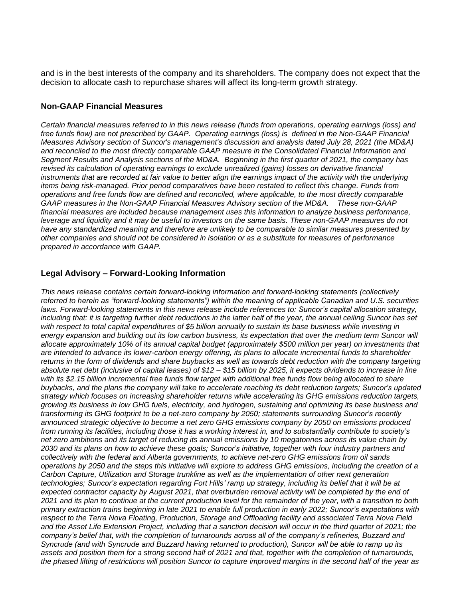and is in the best interests of the company and its shareholders. The company does not expect that the decision to allocate cash to repurchase shares will affect its long-term growth strategy.

#### **Non-GAAP Financial Measures**

*Certain financial measures referred to in this news release (funds from operations, operating earnings (loss) and free funds flow) are not prescribed by GAAP. Operating earnings (loss) is defined in the Non-GAAP Financial Measures Advisory section of Suncor's management's discussion and analysis dated July 28, 2021 (the MD&A) and reconciled to the most directly comparable GAAP measure in the Consolidated Financial Information and Segment Results and Analysis sections of the MD&A. Beginning in the first quarter of 2021, the company has revised its calculation of operating earnings to exclude unrealized (gains) losses on derivative financial instruments that are recorded at fair value to better align the earnings impact of the activity with the underlying items being risk-managed. Prior period comparatives have been restated to reflect this change. Funds from operations and free funds flow are defined and reconciled, where applicable, to the most directly comparable GAAP measures in the Non-GAAP Financial Measures Advisory section of the MD&A. These non-GAAP financial measures are included because management uses this information to analyze business performance, leverage and liquidity and it may be useful to investors on the same basis. These non-GAAP measures do not have any standardized meaning and therefore are unlikely to be comparable to similar measures presented by other companies and should not be considered in isolation or as a substitute for measures of performance prepared in accordance with GAAP.*

### **Legal Advisory – Forward-Looking Information**

*This news release contains certain forward-looking information and forward-looking statements (collectively referred to herein as "forward-looking statements") within the meaning of applicable Canadian and U.S. securities laws. Forward-looking statements in this news release include references to: Suncor's capital allocation strategy, including that: it is targeting further debt reductions in the latter half of the year, the annual ceiling Suncor has set with respect to total capital expenditures of \$5 billion annually to sustain its base business while investing in energy expansion and building out its low carbon business, its expectation that over the medium term Suncor will allocate approximately 10% of its annual capital budget (approximately \$500 million per year) on investments that are intended to advance its lower-carbon energy offering, its plans to allocate incremental funds to shareholder returns in the form of dividends and share buybacks as well as towards debt reduction with the company targeting absolute net debt (inclusive of capital leases) of \$12 – \$15 billion by 2025, it expects dividends to increase in line with its \$2.15 billion incremental free funds flow target with additional free funds flow being allocated to share buybacks, and the plans the company will take to accelerate reaching its debt reduction targets; Suncor's updated strategy which focuses on increasing shareholder returns while accelerating its GHG emissions reduction targets, growing its business in low GHG fuels, electricity, and hydrogen, sustaining and optimizing its base business and transforming its GHG footprint to be a net-zero company by 2050; statements surrounding Suncor's recently announced strategic objective to become a net zero GHG emissions company by 2050 on emissions produced from running its facilities, including those it has a working interest in, and to substantially contribute to society's net zero ambitions and its target of reducing its annual emissions by 10 megatonnes across its value chain by 2030 and its plans on how to achieve these goals; Suncor's initiative, together with four industry partners and collectively with the federal and Alberta governments, to achieve net-zero GHG emissions from oil sands operations by 2050 and the steps this initiative will explore to address GHG emissions, including the creation of a Carbon Capture, Utilization and Storage trunkline as well as the implementation of other next generation technologies; Suncor's expectation regarding Fort Hills' ramp up strategy, including its belief that it will be at expected contractor capacity by August 2021, that overburden removal activity will be completed by the end of 2021 and its plan to continue at the current production level for the remainder of the year, with a transition to both primary extraction trains beginning in late 2021 to enable full production in early 2022; Suncor's expectations with respect to the Terra Nova Floating, Production, Storage and Offloading facility and associated Terra Nova Field and the Asset Life Extension Project, including that a sanction decision will occur in the third quarter of 2021; the company's belief that, with the completion of turnarounds across all of the company's refineries, Buzzard and Syncrude (and with Syncrude and Buzzard having returned to production), Suncor will be able to ramp up its assets and position them for a strong second half of 2021 and that, together with the completion of turnarounds, the phased lifting of restrictions will position Suncor to capture improved margins in the second half of the year as*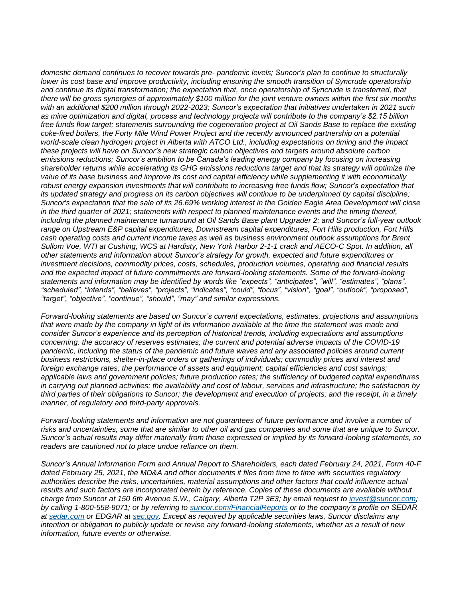*domestic demand continues to recover towards pre- pandemic levels; Suncor's plan to continue to structurally lower its cost base and improve productivity, including ensuring the smooth transition of Syncrude operatorship and continue its digital transformation; the expectation that, once operatorship of Syncrude is transferred, that there will be gross synergies of approximately \$100 million for the joint venture owners within the first six months with an additional \$200 million through 2022-2023; Suncor's expectation that initiatives undertaken in 2021 such as mine optimization and digital, process and technology projects will contribute to the company's \$2.15 billion free funds flow target; statements surrounding the cogeneration project at Oil Sands Base to replace the existing coke-fired boilers, the Forty Mile Wind Power Project and the recently announced partnership on a potential world-scale clean hydrogen project in Alberta with ATCO Ltd., including expectations on timing and the impact these projects will have on Suncor's new strategic carbon objectives and targets around absolute carbon emissions reductions; Suncor's ambition to be Canada's leading energy company by focusing on increasing shareholder returns while accelerating its GHG emissions reductions target and that its strategy will optimize the value of its base business and improve its cost and capital efficiency while supplementing it with economically robust energy expansion investments that will contribute to increasing free funds flow; Suncor's expectation that its updated strategy and progress on its carbon objectives will continue to be underpinned by capital discipline; Suncor's expectation that the sale of its 26.69% working interest in the Golden Eagle Area Development will close in the third quarter of 2021; statements with respect to planned maintenance events and the timing thereof, including the planned maintenance turnaround at Oil Sands Base plant Upgrader 2; and Suncor's full-year outlook range on Upstream E&P capital expenditures, Downstream capital expenditures, Fort Hills production, Fort Hills cash operating costs and current income taxes as well as business environment outlook assumptions for Brent Sullom Voe, WTI at Cushing, WCS at Hardisty, New York Harbor 2-1-1 crack and AECO-C Spot. In addition, all other statements and information about Suncor's strategy for growth, expected and future expenditures or investment decisions, commodity prices, costs, schedules, production volumes, operating and financial results and the expected impact of future commitments are forward-looking statements. Some of the forward-looking statements and information may be identified by words like "expects", "anticipates", "will", "estimates", "plans", "scheduled", "intends", "believes", "projects", "indicates", "could", "focus", "vision", "goal", "outlook", "proposed", "target", "objective", "continue", "should", "may" and similar expressions.*

*Forward-looking statements are based on Suncor's current expectations, estimates, projections and assumptions that were made by the company in light of its information available at the time the statement was made and consider Suncor's experience and its perception of historical trends, including expectations and assumptions concerning: the accuracy of reserves estimates; the current and potential adverse impacts of the COVID-19 pandemic, including the status of the pandemic and future waves and any associated policies around current business restrictions, shelter-in-place orders or gatherings of individuals; commodity prices and interest and foreign exchange rates; the performance of assets and equipment; capital efficiencies and cost savings; applicable laws and government policies; future production rates; the sufficiency of budgeted capital expenditures in carrying out planned activities; the availability and cost of labour, services and infrastructure; the satisfaction by third parties of their obligations to Suncor; the development and execution of projects; and the receipt, in a timely manner, of regulatory and third-party approvals.*

*Forward-looking statements and information are not guarantees of future performance and involve a number of risks and uncertainties, some that are similar to other oil and gas companies and some that are unique to Suncor. Suncor's actual results may differ materially from those expressed or implied by its forward-looking statements, so readers are cautioned not to place undue reliance on them.*

*Suncor's Annual Information Form and Annual Report to Shareholders, each dated February 24, 2021, Form 40-F dated February 25, 2021, the MD&A and other documents it files from time to time with securities regulatory authorities describe the risks, uncertainties, material assumptions and other factors that could influence actual results and such factors are incorporated herein by reference. Copies of these documents are available without charge from Suncor at 150 6th Avenue S.W., Calgary, Alberta T2P 3E3; by email request to [invest@suncor.com;](mailto:invest@suncor.com) by calling 1-800-558-9071; or by referring to [suncor.com/FinancialReports](http://www.suncor.com/en/investor/429.aspx) or to the company's profile on SEDAR at [sedar.com](http://www.sedar.com/) or EDGAR at [sec.gov.](http://www.sec.gov/) Except as required by applicable securities laws, Suncor disclaims any intention or obligation to publicly update or revise any forward-looking statements, whether as a result of new information, future events or otherwise.*